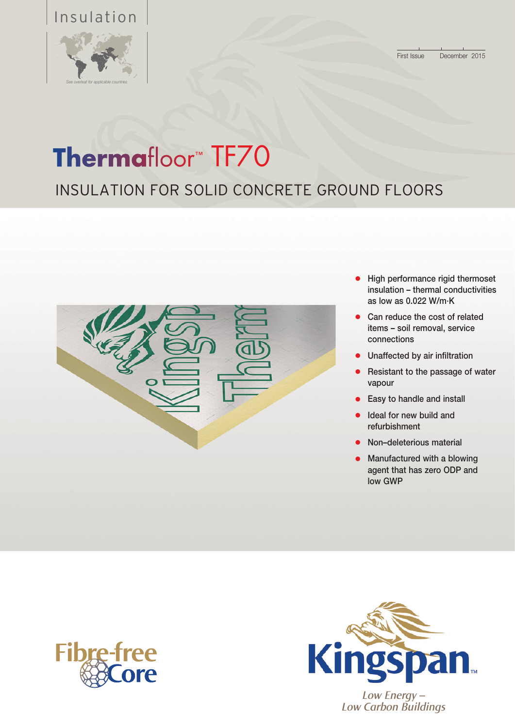# Insulation



# Thermafloor<sup>™</sup> TF70

# INSULATION FOR SOLID CONCRETE GROUND FLOORS



- High performance rigid thermoset insulation – thermal conductivities as low as 0.022 W/m·K
- Can reduce the cost of related items – soil removal, service connections
- $\bullet$  Unaffected by air infiltration
- � Resistant to the passage of water vapour
- Easy to handle and install
- � Ideal for new build and refurbishment
- Non-deleterious material
- Manufactured with a blowing agent that has zero ODP and low GWP





 *Low Energy – Low Carbon Buildings*